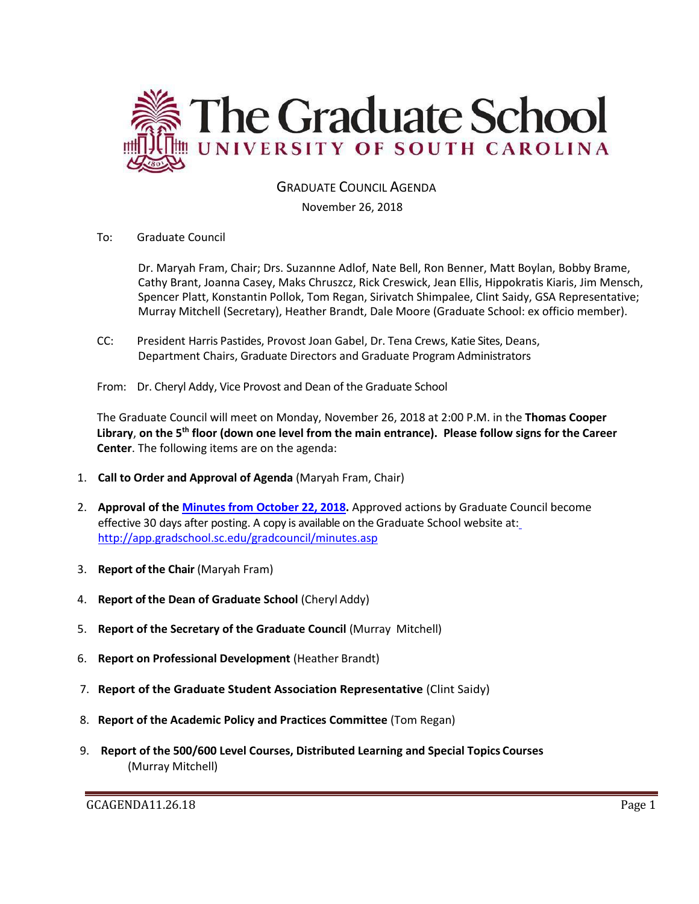

# GRADUATE COUNCIL AGENDA

November 26, 2018

To: Graduate Council

Dr. Maryah Fram, Chair; Drs. Suzannne Adlof, Nate Bell, Ron Benner, Matt Boylan, Bobby Brame, Cathy Brant, Joanna Casey, Maks Chruszcz, Rick Creswick, Jean Ellis, Hippokratis Kiaris, Jim Mensch, Spencer Platt, Konstantin Pollok, Tom Regan, Sirivatch Shimpalee, Clint Saidy, GSA Representative; Murray Mitchell (Secretary), Heather Brandt, Dale Moore (Graduate School: ex officio member).

- CC: President Harris Pastides, Provost Joan Gabel, Dr. Tena Crews, Katie Sites, Deans, Department Chairs, Graduate Directors and Graduate Program Administrators
- From: Dr. Cheryl Addy, Vice Provost and Dean of the Graduate School

The Graduate Council will meet on Monday, November 26, 2018 at 2:00 P.M. in the **Thomas Cooper Library**, **on the 5th floor (down one level from the main entrance). Please follow signs for the Career Center**. The following items are on the agenda:

- 1. **Call to Order and Approval of Agenda** (Maryah Fram, Chair)
- 2. **Approval of the [Minutes from October 22, 2018.](GCMINOCT222018%20mm.pdf)** Approved actions by Graduate Council become effective 30 days after posting. A copy is available on the Graduate School website at[:](http://app.gradschool.sc.edu/gradcouncil/minutes.asp) <http://app.gradschool.sc.edu/gradcouncil/minutes.asp>
- 3. **Report of the Chair** (Maryah Fram)
- 4. **Report of the Dean of Graduate School** (Cheryl Addy)
- 5. **Report of the Secretary of the Graduate Council** (Murray Mitchell)
- 6. **Report on Professional Development** (Heather Brandt)
- 7. **Report of the Graduate Student Association Representative** (Clint Saidy)
- 8. **Report of the Academic Policy and Practices Committee** (Tom Regan)
- 9. **Report of the 500/600 Level Courses, Distributed Learning and Special Topics Courses** (Murray Mitchell)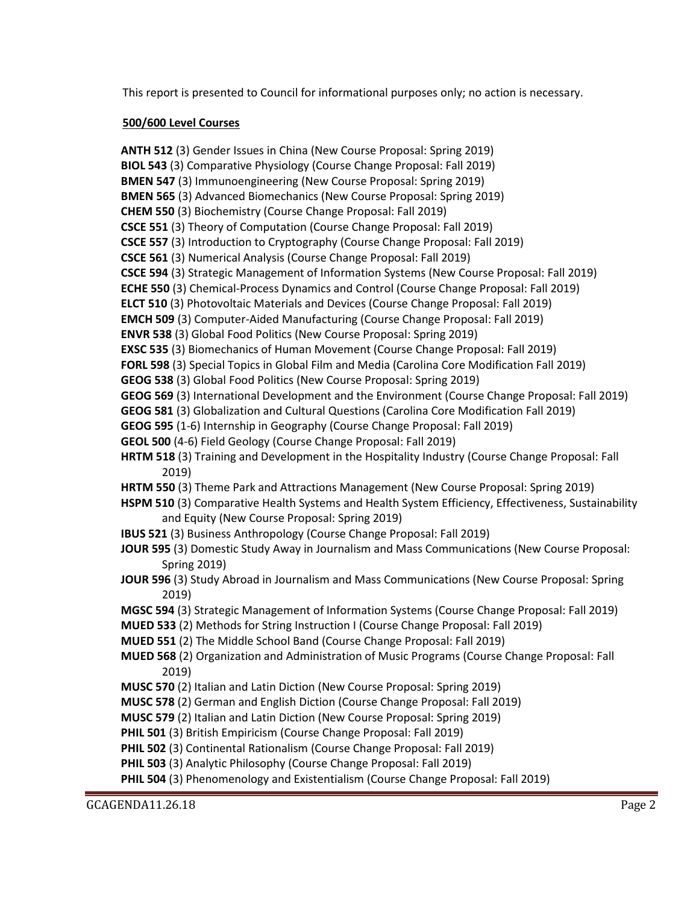This report is presented to Council for informational purposes only; no action is necessary.

### **500/600 Level Courses**

**ANTH 512** (3) Gender Issues in China (New Course Proposal: Spring 2019) **BIOL 543** (3) Comparative Physiology (Course Change Proposal: Fall 2019) **BMEN 547** (3) Immunoengineering (New Course Proposal: Spring 2019) **BMEN 565** (3) Advanced Biomechanics (New Course Proposal: Spring 2019) **CHEM 550** (3) Biochemistry (Course Change Proposal: Fall 2019) **CSCE 551** (3) Theory of Computation (Course Change Proposal: Fall 2019) **CSCE 557** (3) Introduction to Cryptography (Course Change Proposal: Fall 2019) **CSCE 561** (3) Numerical Analysis (Course Change Proposal: Fall 2019) **CSCE 594** (3) Strategic Management of Information Systems (New Course Proposal: Fall 2019) **ECHE 550** (3) Chemical-Process Dynamics and Control (Course Change Proposal: Fall 2019) **ELCT 510** (3) Photovoltaic Materials and Devices (Course Change Proposal: Fall 2019) **EMCH 509** (3) Computer-Aided Manufacturing (Course Change Proposal: Fall 2019) **ENVR 538** (3) Global Food Politics (New Course Proposal: Spring 2019) **EXSC 535** (3) Biomechanics of Human Movement (Course Change Proposal: Fall 2019) **FORL 598** (3) Special Topics in Global Film and Media (Carolina Core Modification Fall 2019) **GEOG 538** (3) Global Food Politics (New Course Proposal: Spring 2019) **GEOG 569** (3) International Development and the Environment (Course Change Proposal: Fall 2019) **GEOG 581** (3) Globalization and Cultural Questions (Carolina Core Modification Fall 2019) **GEOG 595** (1-6) Internship in Geography (Course Change Proposal: Fall 2019) **GEOL 500** (4-6) Field Geology (Course Change Proposal: Fall 2019) **HRTM 518** (3) Training and Development in the Hospitality Industry (Course Change Proposal: Fall 2019) **HRTM 550** (3) Theme Park and Attractions Management (New Course Proposal: Spring 2019) **HSPM 510** (3) Comparative Health Systems and Health System Efficiency, Effectiveness, Sustainability and Equity (New Course Proposal: Spring 2019) **IBUS 521** (3) Business Anthropology (Course Change Proposal: Fall 2019) **JOUR 595** (3) Domestic Study Away in Journalism and Mass Communications (New Course Proposal: Spring 2019) **JOUR 596** (3) Study Abroad in Journalism and Mass Communications (New Course Proposal: Spring 2019) **MGSC 594** (3) Strategic Management of Information Systems (Course Change Proposal: Fall 2019) **MUED 533** (2) Methods for String Instruction I (Course Change Proposal: Fall 2019) **MUED 551** (2) The Middle School Band (Course Change Proposal: Fall 2019) **MUED 568** (2) Organization and Administration of Music Programs (Course Change Proposal: Fall 2019) **MUSC 570** (2) Italian and Latin Diction (New Course Proposal: Spring 2019) **MUSC 578** (2) German and English Diction (Course Change Proposal: Fall 2019) **MUSC 579** (2) Italian and Latin Diction (New Course Proposal: Spring 2019) **PHIL 501** (3) British Empiricism (Course Change Proposal: Fall 2019) **PHIL 502** (3) Continental Rationalism (Course Change Proposal: Fall 2019) **PHIL 503** (3) Analytic Philosophy (Course Change Proposal: Fall 2019) **PHIL 504** (3) Phenomenology and Existentialism (Course Change Proposal: Fall 2019)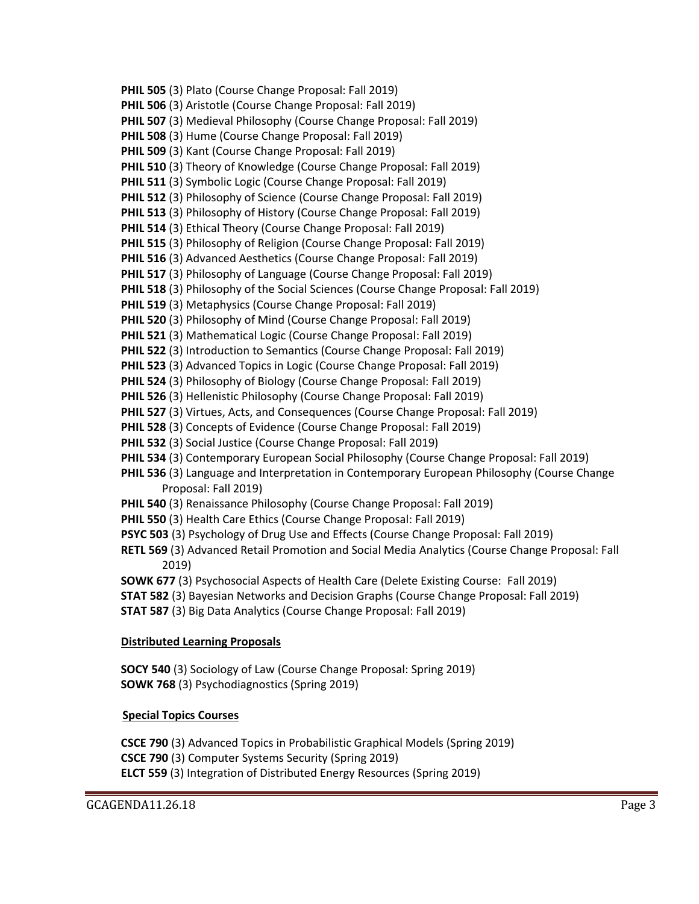**PHIL 505** (3) Plato (Course Change Proposal: Fall 2019) **PHIL 506** (3) Aristotle (Course Change Proposal: Fall 2019) **PHIL 507** (3) Medieval Philosophy (Course Change Proposal: Fall 2019) **PHIL 508** (3) Hume (Course Change Proposal: Fall 2019) **PHIL 509** (3) Kant (Course Change Proposal: Fall 2019) **PHIL 510** (3) Theory of Knowledge (Course Change Proposal: Fall 2019) **PHIL 511** (3) Symbolic Logic (Course Change Proposal: Fall 2019) **PHIL 512** (3) Philosophy of Science (Course Change Proposal: Fall 2019) **PHIL 513** (3) Philosophy of History (Course Change Proposal: Fall 2019) **PHIL 514** (3) Ethical Theory (Course Change Proposal: Fall 2019) **PHIL 515** (3) Philosophy of Religion (Course Change Proposal: Fall 2019) **PHIL 516** (3) Advanced Aesthetics (Course Change Proposal: Fall 2019) **PHIL 517** (3) Philosophy of Language (Course Change Proposal: Fall 2019) **PHIL 518** (3) Philosophy of the Social Sciences (Course Change Proposal: Fall 2019) **PHIL 519** (3) Metaphysics (Course Change Proposal: Fall 2019) **PHIL 520** (3) Philosophy of Mind (Course Change Proposal: Fall 2019) **PHIL 521** (3) Mathematical Logic (Course Change Proposal: Fall 2019) **PHIL 522** (3) Introduction to Semantics (Course Change Proposal: Fall 2019) **PHIL 523** (3) Advanced Topics in Logic (Course Change Proposal: Fall 2019) **PHIL 524** (3) Philosophy of Biology (Course Change Proposal: Fall 2019) **PHIL 526** (3) Hellenistic Philosophy (Course Change Proposal: Fall 2019) **PHIL 527** (3) Virtues, Acts, and Consequences (Course Change Proposal: Fall 2019) **PHIL 528** (3) Concepts of Evidence (Course Change Proposal: Fall 2019) **PHIL 532** (3) Social Justice (Course Change Proposal: Fall 2019) **PHIL 534** (3) Contemporary European Social Philosophy (Course Change Proposal: Fall 2019) **PHIL 536** (3) Language and Interpretation in Contemporary European Philosophy (Course Change Proposal: Fall 2019) **PHIL 540** (3) Renaissance Philosophy (Course Change Proposal: Fall 2019) **PHIL 550** (3) Health Care Ethics (Course Change Proposal: Fall 2019) **PSYC 503** (3) Psychology of Drug Use and Effects (Course Change Proposal: Fall 2019) **RETL 569** (3) Advanced Retail Promotion and Social Media Analytics (Course Change Proposal: Fall 2019) **SOWK 677** (3) Psychosocial Aspects of Health Care (Delete Existing Course: Fall 2019) **STAT 582** (3) Bayesian Networks and Decision Graphs (Course Change Proposal: Fall 2019) **STAT 587** (3) Big Data Analytics (Course Change Proposal: Fall 2019)

## **Distributed Learning Proposals**

**SOCY 540** (3) Sociology of Law (Course Change Proposal: Spring 2019) **SOWK 768** (3) Psychodiagnostics (Spring 2019)

## **Special Topics Courses**

**CSCE 790** (3) Advanced Topics in Probabilistic Graphical Models (Spring 2019) **CSCE 790** (3) Computer Systems Security (Spring 2019) **ELCT 559** (3) Integration of Distributed Energy Resources (Spring 2019)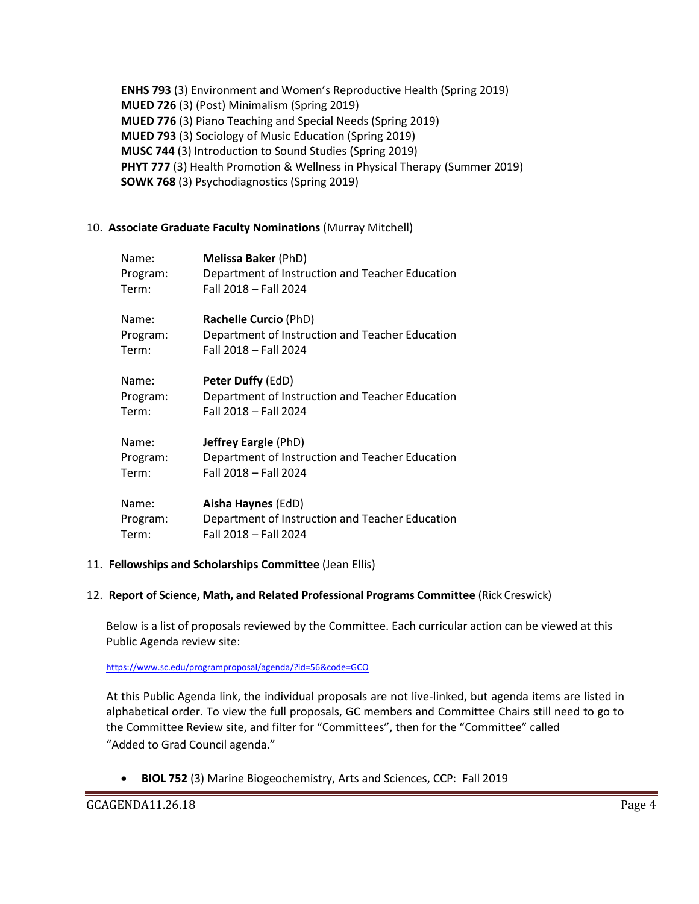**ENHS 793** (3) Environment and Women's Reproductive Health (Spring 2019) **MUED 726** (3) (Post) Minimalism (Spring 2019) **MUED 776** (3) Piano Teaching and Special Needs (Spring 2019) **MUED 793** (3) Sociology of Music Education (Spring 2019) **MUSC 744** (3) Introduction to Sound Studies (Spring 2019) **PHYT 777** (3) Health Promotion & Wellness in Physical Therapy (Summer 2019) **SOWK 768** (3) Psychodiagnostics (Spring 2019)

#### 10. **Associate Graduate Faculty Nominations** (Murray Mitchell)

| Name:    | Melissa Baker (PhD)                             |
|----------|-------------------------------------------------|
| Program: | Department of Instruction and Teacher Education |
| Term:    | Fall 2018 - Fall 2024                           |
| Name:    | Rachelle Curcio (PhD)                           |
| Program: | Department of Instruction and Teacher Education |
| Term:    | Fall 2018 - Fall 2024                           |
| Name:    | <b>Peter Duffy (EdD)</b>                        |
| Program: | Department of Instruction and Teacher Education |
| Term:    | Fall 2018 - Fall 2024                           |
| Name:    | <b>Jeffrey Eargle (PhD)</b>                     |
| Program: | Department of Instruction and Teacher Education |
| Term:    | Fall 2018 - Fall 2024                           |
| Name:    | Aisha Haynes (EdD)                              |
| Program: | Department of Instruction and Teacher Education |
| Term:    | Fall 2018 - Fall 2024                           |

#### 11. **Fellowships and Scholarships Committee** (Jean Ellis)

#### 12. **Report of Science, Math, and Related Professional Programs Committee** (Rick Creswick)

Below is a list of proposals reviewed by the Committee. Each curricular action can be viewed at this Public Agenda review site:

<https://www.sc.edu/programproposal/agenda/?id=56&code=GCO>

At this Public Agenda link, the individual proposals are not live-linked, but agenda items are listed in alphabetical order. To view the full proposals, GC members and Committee Chairs still need to go to the Committee Review site, and filter for "Committees", then for the "Committee" called "Added to Grad Council agenda."

• **BIOL 752** (3) Marine Biogeochemistry, Arts and Sciences, CCP: Fall 2019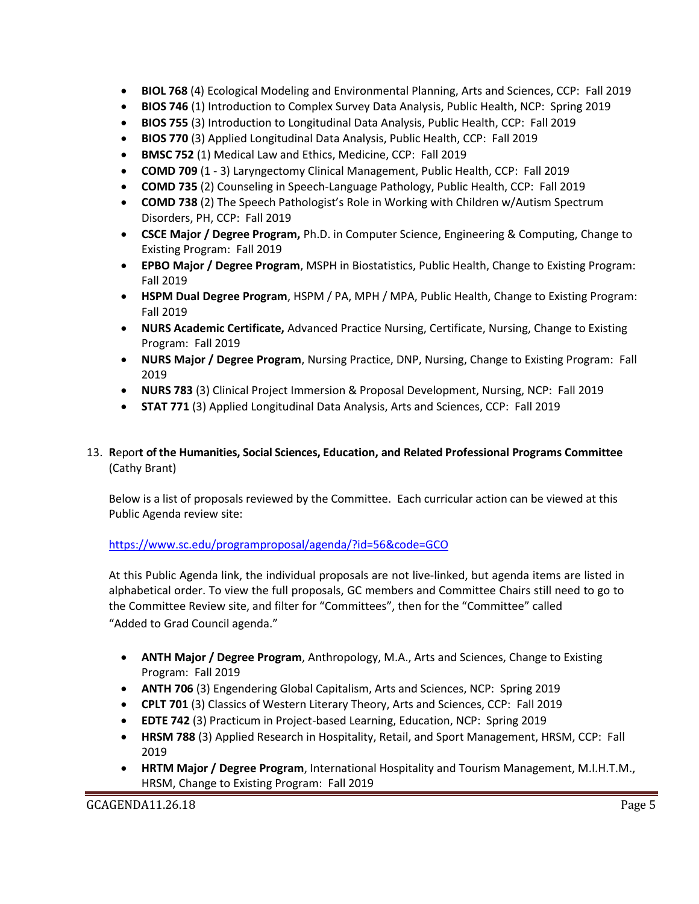- **BIOL 768** (4) Ecological Modeling and Environmental Planning, Arts and Sciences, CCP: Fall 2019
- **BIOS 746** (1) Introduction to Complex Survey Data Analysis, Public Health, NCP: Spring 2019
- **BIOS 755** (3) Introduction to Longitudinal Data Analysis, Public Health, CCP: Fall 2019
- **BIOS 770** (3) Applied Longitudinal Data Analysis, Public Health, CCP: Fall 2019
- **BMSC 752** (1) Medical Law and Ethics, Medicine, CCP: Fall 2019
- **COMD 709** (1 3) Laryngectomy Clinical Management, Public Health, CCP: Fall 2019
- **COMD 735** (2) Counseling in Speech-Language Pathology, Public Health, CCP: Fall 2019
- **COMD 738** (2) The Speech Pathologist's Role in Working with Children w/Autism Spectrum Disorders, PH, CCP: Fall 2019
- **CSCE Major / Degree Program,** Ph.D. in Computer Science, Engineering & Computing, Change to Existing Program: Fall 2019
- **EPBO Major / Degree Program**, MSPH in Biostatistics, Public Health, Change to Existing Program: Fall 2019
- **HSPM Dual Degree Program**, HSPM / PA, MPH / MPA, Public Health, Change to Existing Program: Fall 2019
- **NURS Academic Certificate,** Advanced Practice Nursing, Certificate, Nursing, Change to Existing Program: Fall 2019
- **NURS Major / Degree Program**, Nursing Practice, DNP, Nursing, Change to Existing Program: Fall 2019
- **NURS 783** (3) Clinical Project Immersion & Proposal Development, Nursing, NCP: Fall 2019
- **STAT 771** (3) Applied Longitudinal Data Analysis, Arts and Sciences, CCP: Fall 2019

# 13. **R**epor**t of the Humanities, Social Sciences, Education, and Related Professional Programs Committee**  (Cathy Brant)

Below is a list of proposals reviewed by the Committee. Each curricular action can be viewed at this Public Agenda review site:

# <https://www.sc.edu/programproposal/agenda/?id=56&code=GCO>

At this Public Agenda link, the individual proposals are not live-linked, but agenda items are listed in alphabetical order. To view the full proposals, GC members and Committee Chairs still need to go to the Committee Review site, and filter for "Committees", then for the "Committee" called "Added to Grad Council agenda."

- **ANTH Major / Degree Program**, Anthropology, M.A., Arts and Sciences, Change to Existing Program: Fall 2019
- **ANTH 706** (3) Engendering Global Capitalism, Arts and Sciences, NCP: Spring 2019
- **CPLT 701** (3) Classics of Western Literary Theory, Arts and Sciences, CCP: Fall 2019
- **EDTE 742** (3) Practicum in Project-based Learning, Education, NCP: Spring 2019
- **HRSM 788** (3) Applied Research in Hospitality, Retail, and Sport Management, HRSM, CCP: Fall 2019
- **HRTM Major / Degree Program**, International Hospitality and Tourism Management, M.I.H.T.M., HRSM, Change to Existing Program: Fall 2019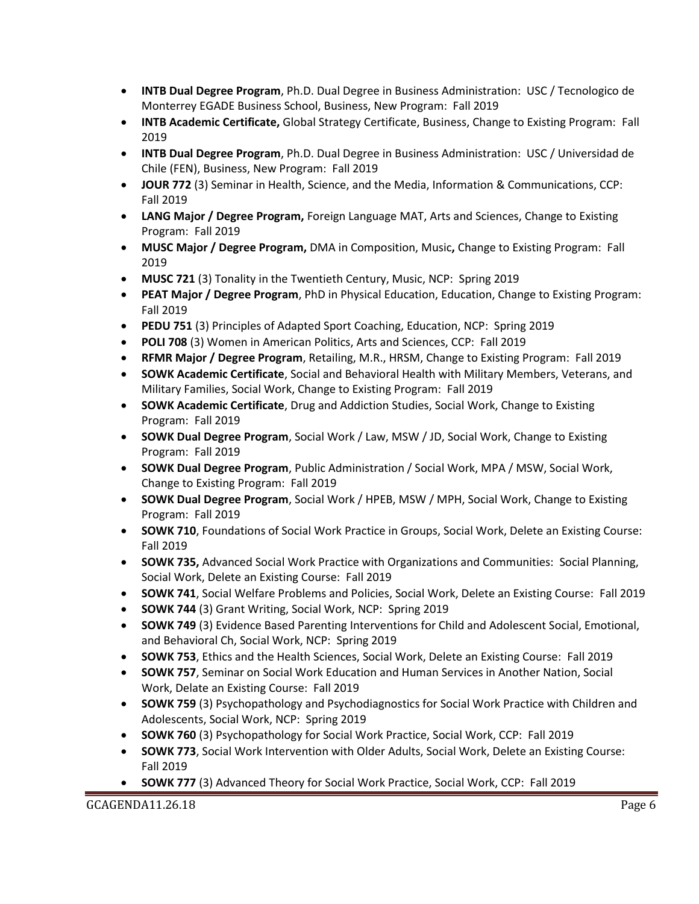- **INTB Dual Degree Program**, Ph.D. Dual Degree in Business Administration: USC / Tecnologico de Monterrey EGADE Business School, Business, New Program: Fall 2019
- **INTB Academic Certificate,** Global Strategy Certificate, Business, Change to Existing Program: Fall 2019
- **INTB Dual Degree Program**, Ph.D. Dual Degree in Business Administration: USC / Universidad de Chile (FEN), Business, New Program: Fall 2019
- **JOUR 772** (3) Seminar in Health, Science, and the Media, Information & Communications, CCP: Fall 2019
- **LANG Major / Degree Program,** Foreign Language MAT, Arts and Sciences, Change to Existing Program: Fall 2019
- **MUSC Major / Degree Program,** DMA in Composition, Music**,** Change to Existing Program: Fall 2019
- **MUSC 721** (3) Tonality in the Twentieth Century, Music, NCP: Spring 2019
- **PEAT Major / Degree Program**, PhD in Physical Education, Education, Change to Existing Program: Fall 2019
- **PEDU 751** (3) Principles of Adapted Sport Coaching, Education, NCP: Spring 2019
- **POLI 708** (3) Women in American Politics, Arts and Sciences, CCP: Fall 2019
- **RFMR Major / Degree Program**, Retailing, M.R., HRSM, Change to Existing Program: Fall 2019
- **SOWK Academic Certificate**, Social and Behavioral Health with Military Members, Veterans, and Military Families, Social Work, Change to Existing Program: Fall 2019
- **SOWK Academic Certificate**, Drug and Addiction Studies, Social Work, Change to Existing Program: Fall 2019
- **SOWK Dual Degree Program**, Social Work / Law, MSW / JD, Social Work, Change to Existing Program: Fall 2019
- **SOWK Dual Degree Program**, Public Administration / Social Work, MPA / MSW, Social Work, Change to Existing Program: Fall 2019
- **SOWK Dual Degree Program**, Social Work / HPEB, MSW / MPH, Social Work, Change to Existing Program: Fall 2019
- **SOWK 710**, Foundations of Social Work Practice in Groups, Social Work, Delete an Existing Course: Fall 2019
- **SOWK 735,** Advanced Social Work Practice with Organizations and Communities: Social Planning, Social Work, Delete an Existing Course: Fall 2019
- **SOWK 741**, Social Welfare Problems and Policies, Social Work, Delete an Existing Course: Fall 2019
- **SOWK 744** (3) Grant Writing, Social Work, NCP: Spring 2019
- **SOWK 749** (3) Evidence Based Parenting Interventions for Child and Adolescent Social, Emotional, and Behavioral Ch, Social Work, NCP: Spring 2019
- **SOWK 753**, Ethics and the Health Sciences, Social Work, Delete an Existing Course: Fall 2019
- **SOWK 757**, Seminar on Social Work Education and Human Services in Another Nation, Social Work, Delate an Existing Course: Fall 2019
- **SOWK 759** (3) Psychopathology and Psychodiagnostics for Social Work Practice with Children and Adolescents, Social Work, NCP: Spring 2019
- **SOWK 760** (3) Psychopathology for Social Work Practice, Social Work, CCP: Fall 2019
- **SOWK 773**, Social Work Intervention with Older Adults, Social Work, Delete an Existing Course: Fall 2019
- **SOWK 777** (3) Advanced Theory for Social Work Practice, Social Work, CCP: Fall 2019